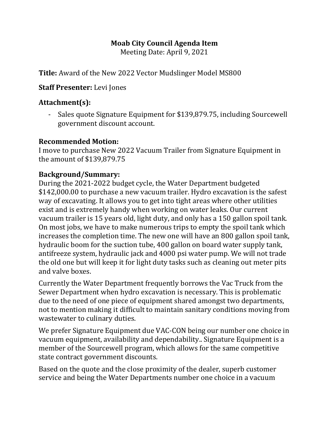## **Moab City Council Agenda Item**

Meeting Date: April 9, 2021

**Title:** Award of the New 2022 Vector Mudslinger Model MS800

**Staff Presenter:** Levi Jones

## **Attachment(s):**

- Sales quote Signature Equipment for \$139,879.75, including Sourcewell government discount account.

## **Recommended Motion:**

I move to purchase New 2022 Vacuum Trailer from Signature Equipment in the amount of \$139,879.75

## **Background/Summary:**

During the 2021-2022 budget cycle, the Water Department budgeted \$142,000.00 to purchase a new vacuum trailer. Hydro excavation is the safest way of excavating. It allows you to get into tight areas where other utilities exist and is extremely handy when working on water leaks. Our current vacuum trailer is 15 years old, light duty, and only has a 150 gallon spoil tank. On most jobs, we have to make numerous trips to empty the spoil tank which increases the completion time. The new one will have an 800 gallon spoil tank, hydraulic boom for the suction tube, 400 gallon on board water supply tank, antifreeze system, hydraulic jack and 4000 psi water pump. We will not trade the old one but will keep it for light duty tasks such as cleaning out meter pits and valve boxes.

Currently the Water Department frequently borrows the Vac Truck from the Sewer Department when hydro excavation is necessary. This is problematic due to the need of one piece of equipment shared amongst two departments, not to mention making it difficult to maintain sanitary conditions moving from wastewater to culinary duties.

We prefer Signature Equipment due VAC-CON being our number one choice in vacuum equipment, availability and dependability.. Signature Equipment is a member of the Sourcewell program, which allows for the same competitive state contract government discounts.

Based on the quote and the close proximity of the dealer, superb customer service and being the Water Departments number one choice in a vacuum